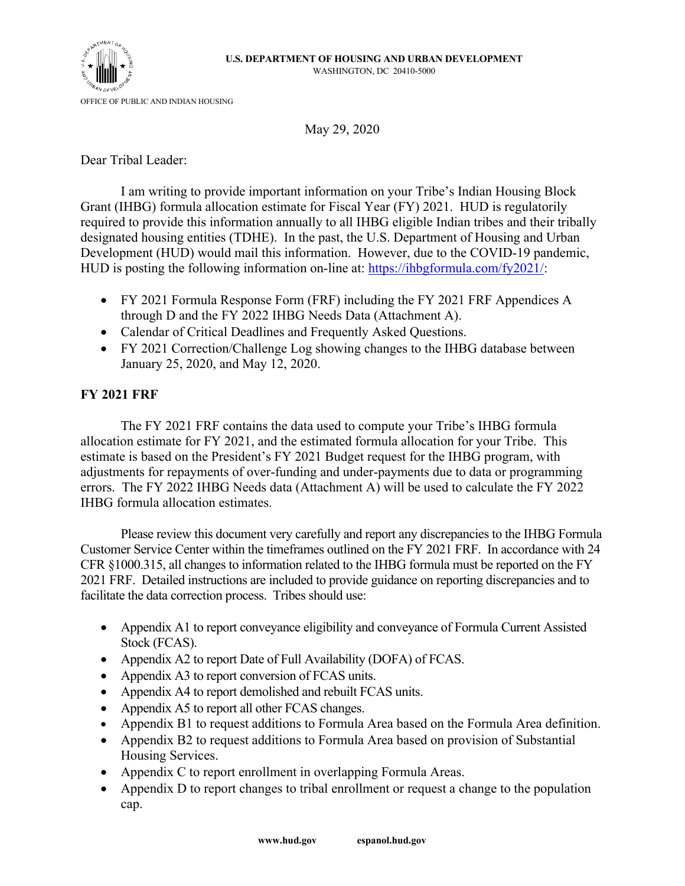

May 29, 2020

Dear Tribal Leader:

I am writing to provide important information on your Tribe's Indian Housing Block Grant (IHBG) formula allocation estimate for Fiscal Year (FY) 2021. HUD is regulatorily required to provide this information annually to all IHBG eligible Indian tribes and their tribally designated housing entities (TDHE). In the past, the U.S. Department of Housing and Urban Development (HUD) would mail this information. However, due to the COVID-19 pandemic, HUD is posting the following information on-line at: [https://ihbgformula.com/f](https://ihbgformula.com/)y2021/:

- FY 2021 Formula Response Form (FRF) including the FY 2021 FRF Appendices A through D and the FY 2022 IHBG Needs Data (Attachment A).
- Calendar of Critical Deadlines and Frequently Asked Questions.
- FY 2021 Correction/Challenge Log showing changes to the IHBG database between January 25, 2020, and May 12, 2020.

# **FY 2021 FRF**

The FY 2021 FRF contains the data used to compute your Tribe's IHBG formula allocation estimate for FY 2021, and the estimated formula allocation for your Tribe. This estimate is based on the President's FY 2021 Budget request for the IHBG program, with adjustments for repayments of over-funding and under-payments due to data or programming errors. The FY 2022 IHBG Needs data (Attachment A) will be used to calculate the FY 2022 IHBG formula allocation estimates.

Please review this document very carefully and report any discrepancies to the IHBG Formula Customer Service Center within the timeframes outlined on the FY 2021 FRF. In accordance with 24 CFR §1000.315, all changes to information related to the IHBG formula must be reported on the FY 2021 FRF. Detailed instructions are included to provide guidance on reporting discrepancies and to facilitate the data correction process. Tribes should use:

- Appendix A1 to report conveyance eligibility and conveyance of Formula Current Assisted Stock (FCAS).
- Appendix A2 to report Date of Full Availability (DOFA) of FCAS.
- Appendix A3 to report conversion of FCAS units.
- Appendix A4 to report demolished and rebuilt FCAS units.
- Appendix A5 to report all other FCAS changes.
- Appendix B1 to request additions to Formula Area based on the Formula Area definition.
- Appendix B2 to request additions to Formula Area based on provision of Substantial Housing Services.
- Appendix C to report enrollment in overlapping Formula Areas.
- Appendix D to report changes to tribal enrollment or request a change to the population cap.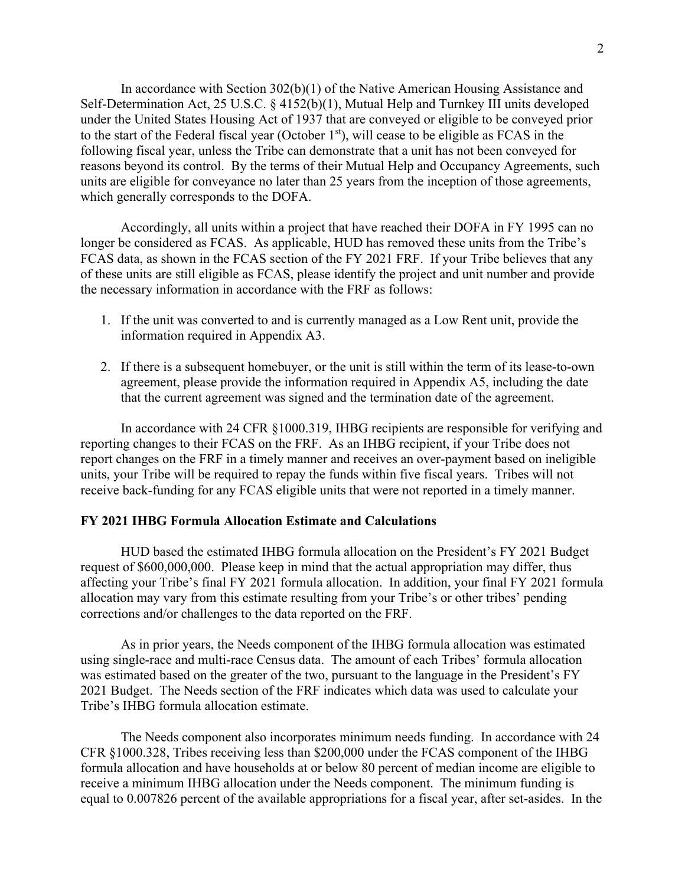In accordance with Section 302(b)(1) of the Native American Housing Assistance and Self-Determination Act, 25 U.S.C. § 4152(b)(1), Mutual Help and Turnkey III units developed under the United States Housing Act of 1937 that are conveyed or eligible to be conveyed prior to the start of the Federal fiscal year (October 1<sup>st</sup>), will cease to be eligible as FCAS in the following fiscal year, unless the Tribe can demonstrate that a unit has not been conveyed for reasons beyond its control. By the terms of their Mutual Help and Occupancy Agreements, such units are eligible for conveyance no later than 25 years from the inception of those agreements, which generally corresponds to the DOFA.

Accordingly, all units within a project that have reached their DOFA in FY 1995 can no longer be considered as FCAS. As applicable, HUD has removed these units from the Tribe's FCAS data, as shown in the FCAS section of the FY 2021 FRF. If your Tribe believes that any of these units are still eligible as FCAS, please identify the project and unit number and provide the necessary information in accordance with the FRF as follows:

- 1. If the unit was converted to and is currently managed as a Low Rent unit, provide the information required in Appendix A3.
- 2. If there is a subsequent homebuyer, or the unit is still within the term of its lease-to-own agreement, please provide the information required in Appendix A5, including the date that the current agreement was signed and the termination date of the agreement.

In accordance with 24 CFR §1000.319, IHBG recipients are responsible for verifying and reporting changes to their FCAS on the FRF. As an IHBG recipient, if your Tribe does not report changes on the FRF in a timely manner and receives an over-payment based on ineligible units, your Tribe will be required to repay the funds within five fiscal years. Tribes will not receive back-funding for any FCAS eligible units that were not reported in a timely manner.

## **FY 2021 IHBG Formula Allocation Estimate and Calculations**

HUD based the estimated IHBG formula allocation on the President's FY 2021 Budget request of \$600,000,000. Please keep in mind that the actual appropriation may differ, thus affecting your Tribe's final FY 2021 formula allocation. In addition, your final FY 2021 formula allocation may vary from this estimate resulting from your Tribe's or other tribes' pending corrections and/or challenges to the data reported on the FRF.

As in prior years, the Needs component of the IHBG formula allocation was estimated using single-race and multi-race Census data. The amount of each Tribes' formula allocation was estimated based on the greater of the two, pursuant to the language in the President's FY 2021 Budget. The Needs section of the FRF indicates which data was used to calculate your Tribe's IHBG formula allocation estimate.

The Needs component also incorporates minimum needs funding. In accordance with 24 CFR §1000.328, Tribes receiving less than \$200,000 under the FCAS component of the IHBG formula allocation and have households at or below 80 percent of median income are eligible to receive a minimum IHBG allocation under the Needs component. The minimum funding is equal to 0.007826 percent of the available appropriations for a fiscal year, after set-asides. In the